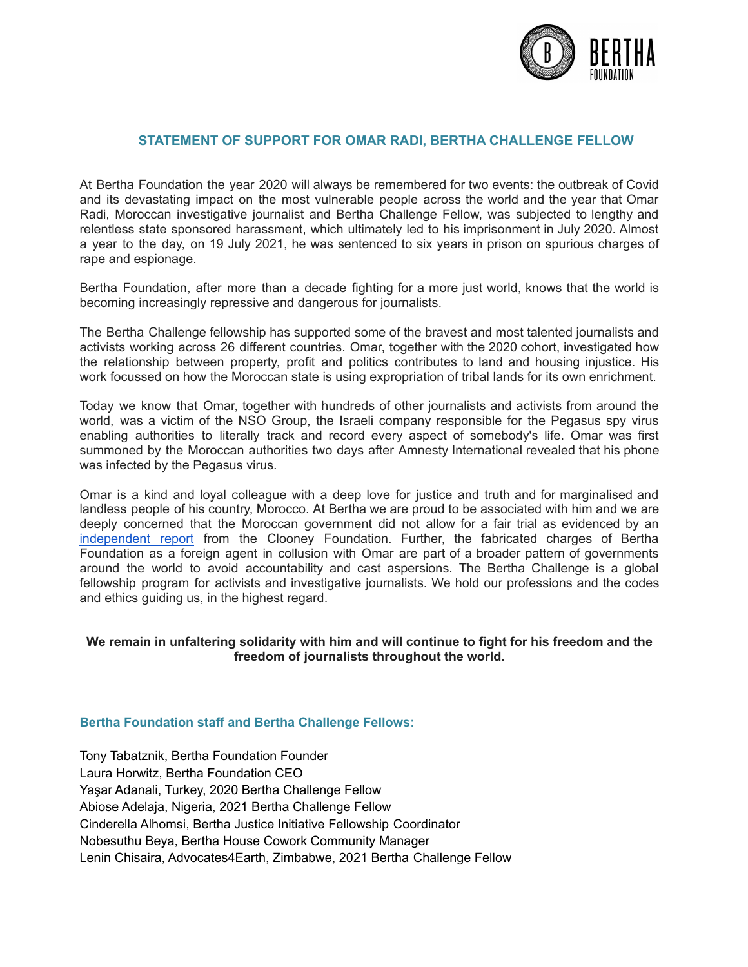

## **STATEMENT OF SUPPORT FOR OMAR RADI, BERTHA CHALLENGE FELLOW**

At Bertha Foundation the year 2020 will always be remembered for two events: the outbreak of Covid and its devastating impact on the most vulnerable people across the world and the year that Omar Radi, Moroccan investigative journalist and Bertha Challenge Fellow, was subjected to lengthy and relentless state sponsored harassment, which ultimately led to his imprisonment in July 2020. Almost a year to the day, on 19 July 2021, he was sentenced to six years in prison on spurious charges of rape and espionage.

Bertha Foundation, after more than a decade fighting for a more just world, knows that the world is becoming increasingly repressive and dangerous for journalists.

The Bertha Challenge fellowship has supported some of the bravest and most talented journalists and activists working across 26 different countries. Omar, together with the 2020 cohort, investigated how the relationship between property, profit and politics contributes to land and housing injustice. His work focussed on how the Moroccan state is using expropriation of tribal lands for its own enrichment.

Today we know that Omar, together with hundreds of other journalists and activists from around the world, was a victim of the NSO Group, the Israeli company responsible for the Pegasus spy virus enabling authorities to literally track and record every aspect of somebody's life. Omar was first summoned by the Moroccan authorities two days after Amnesty International revealed that his phone was infected by the Pegasus virus.

Omar is a kind and loyal colleague with a deep love for justice and truth and for marginalised and landless people of his country, Morocco. At Bertha we are proud to be associated with him and we are deeply concerned that the Moroccan government did not allow for a fair trial as evidenced by an [independent](https://cfj.org/wp-content/uploads/2021/07/Moroccan-Journalist-Convicted-After-Court-Excludes-Evidence.pdf) report from the Clooney Foundation. Further, the fabricated charges of Bertha Foundation as a foreign agent in collusion with Omar are part of a broader pattern of governments around the world to avoid accountability and cast aspersions. The Bertha Challenge is a global fellowship program for activists and investigative journalists. We hold our professions and the codes and ethics guiding us, in the highest regard.

## **We remain in unfaltering solidarity with him and will continue to fight for his freedom and the freedom of journalists throughout the world.**

## **Bertha Foundation staff and Bertha Challenge Fellows:**

Tony Tabatznik, Bertha Foundation Founder Laura Horwitz, Bertha Foundation CEO Yaşar Adanali, Turkey, 2020 Bertha Challenge Fellow Abiose Adelaja, Nigeria, 2021 Bertha Challenge Fellow Cinderella Alhomsi, Bertha Justice Initiative Fellowship Coordinator Nobesuthu Beya, Bertha House Cowork Community Manager Lenin Chisaira, Advocates4Earth, Zimbabwe, 2021 Bertha Challenge Fellow